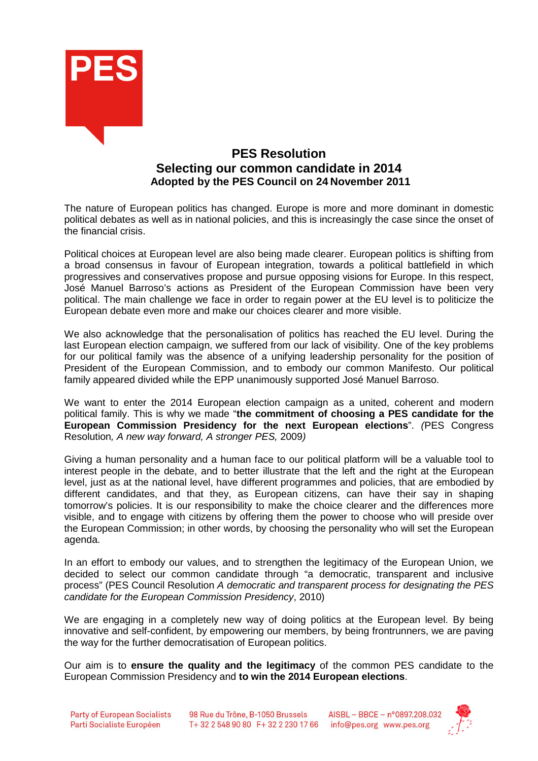

# **PES Resolution Selecting our common candidate in 2014 Adopted by the PES Council on 24 November 2011**

The nature of European politics has changed. Europe is more and more dominant in domestic political debates as well as in national policies, and this is increasingly the case since the onset of the financial crisis.

Political choices at European level are also being made clearer. European politics is shifting from a broad consensus in favour of European integration, towards a political battlefield in which progressives and conservatives propose and pursue opposing visions for Europe. In this respect, José Manuel Barroso's actions as President of the European Commission have been very political. The main challenge we face in order to regain power at the EU level is to politicize the European debate even more and make our choices clearer and more visible.

We also acknowledge that the personalisation of politics has reached the EU level. During the last European election campaign, we suffered from our lack of visibility. One of the key problems for our political family was the absence of a unifying leadership personality for the position of President of the European Commission, and to embody our common Manifesto. Our political family appeared divided while the EPP unanimously supported José Manuel Barroso.

We want to enter the 2014 European election campaign as a united, coherent and modern political family. This is why we made "**the commitment of choosing a PES candidate for the European Commission Presidency for the next European elections**". (PES Congress Resolution, A new way forward, A stronger PES, 2009)

Giving a human personality and a human face to our political platform will be a valuable tool to interest people in the debate, and to better illustrate that the left and the right at the European level, just as at the national level, have different programmes and policies, that are embodied by different candidates, and that they, as European citizens, can have their say in shaping tomorrow's policies. It is our responsibility to make the choice clearer and the differences more visible, and to engage with citizens by offering them the power to choose who will preside over the European Commission; in other words, by choosing the personality who will set the European agenda.

In an effort to embody our values, and to strengthen the legitimacy of the European Union, we decided to select our common candidate through "a democratic, transparent and inclusive process" (PES Council Resolution A democratic and transparent process for designating the PES candidate for the European Commission Presidency, 2010)

We are engaging in a completely new way of doing politics at the European level. By being innovative and self-confident, by empowering our members, by being frontrunners, we are paving the way for the further democratisation of European politics.

Our aim is to **ensure the quality and the legitimacy** of the common PES candidate to the European Commission Presidency and **to win the 2014 European elections**.



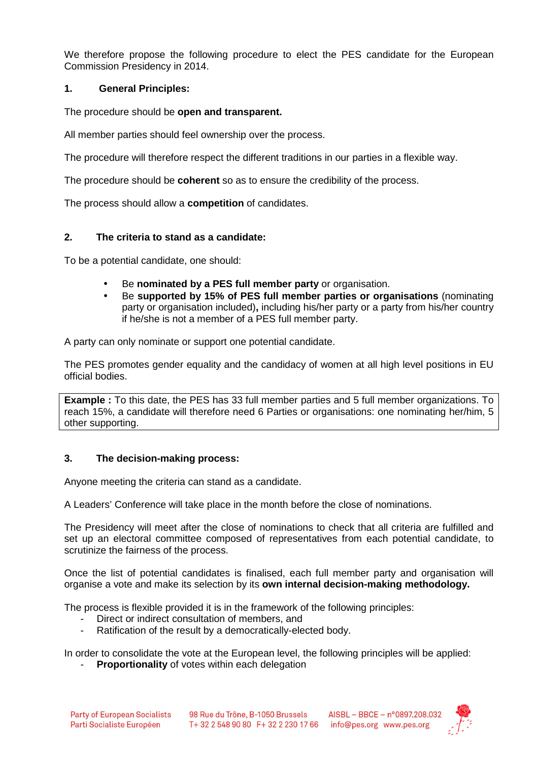We therefore propose the following procedure to elect the PES candidate for the European Commission Presidency in 2014.

## **1. General Principles:**

The procedure should be **open and transparent.**

All member parties should feel ownership over the process.

The procedure will therefore respect the different traditions in our parties in a flexible way.

The procedure should be **coherent** so as to ensure the credibility of the process.

The process should allow a **competition** of candidates.

## **2. The criteria to stand as a candidate:**

To be a potential candidate, one should:

- Be **nominated by a PES full member party** or organisation.
- Be **supported by 15% of PES full member parties or organisations** (nominating party or organisation included)**,** including his/her party or a party from his/her country if he/she is not a member of a PES full member party.

A party can only nominate or support one potential candidate.

The PES promotes gender equality and the candidacy of women at all high level positions in EU official bodies.

**Example :** To this date, the PES has 33 full member parties and 5 full member organizations. To reach 15%, a candidate will therefore need 6 Parties or organisations: one nominating her/him, 5 other supporting.

#### **3. The decision-making process:**

Anyone meeting the criteria can stand as a candidate.

A Leaders' Conference will take place in the month before the close of nominations.

The Presidency will meet after the close of nominations to check that all criteria are fulfilled and set up an electoral committee composed of representatives from each potential candidate, to scrutinize the fairness of the process.

Once the list of potential candidates is finalised, each full member party and organisation will organise a vote and make its selection by its **own internal decision-making methodology.**

The process is flexible provided it is in the framework of the following principles:

- Direct or indirect consultation of members, and
- Ratification of the result by a democratically-elected body.

In order to consolidate the vote at the European level, the following principles will be applied:

**Proportionality** of votes within each delegation